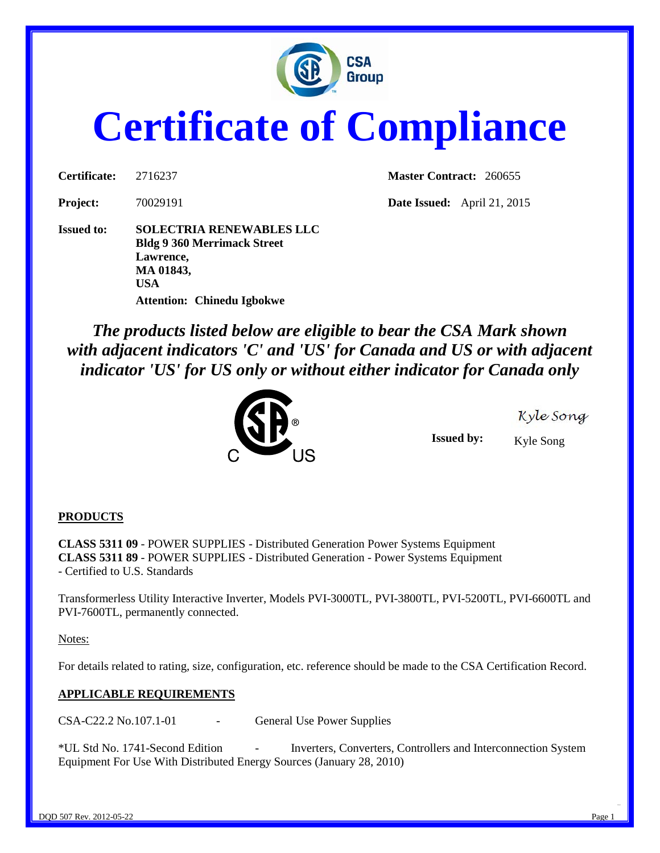

# **Certificate of Compliance**

**Issued to: SOLECTRIA RENEWABLES LLC Bldg 9 360 Merrimack Street Lawrence, MA 01843, USA Attention: Chinedu Igbokwe**

**Certificate:** 2716237 **Master Contract:** 260655

**Project:** 70029191 **Date Issued:** April 21, 2015

*The products listed below are eligible to bear the CSA Mark shown with adjacent indicators 'C' and 'US' for Canada and US or with adjacent indicator 'US' for US only or without either indicator for Canada only* 



Kyle Song

**Issued by:** Kyle Song

#### **PRODUCTS**

**CLASS 5311 09** - POWER SUPPLIES - Distributed Generation Power Systems Equipment **CLASS 5311 89** - POWER SUPPLIES - Distributed Generation - Power Systems Equipment - Certified to U.S. Standards

Transformerless Utility Interactive Inverter, Models PVI-3000TL, PVI-3800TL, PVI-5200TL, PVI-6600TL and PVI-7600TL, permanently connected.

Notes:

For details related to rating, size, configuration, etc. reference should be made to the CSA Certification Record.

#### **APPLICABLE REQUIREMENTS**

CSA-C22.2 No.107.1-01 - General Use Power Supplies

\*UL Std No. 1741-Second Edition - Inverters, Converters, Controllers and Interconnection System Equipment For Use With Distributed Energy Sources (January 28, 2010)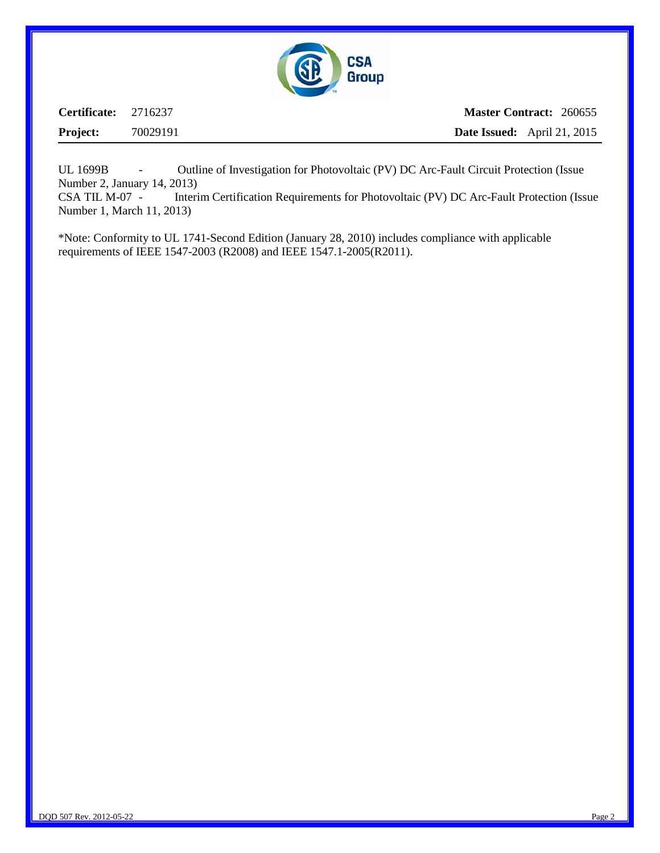

| <b>Certificate:</b> 2716237 |          | <b>Master Contract: 260655</b>     |  |
|-----------------------------|----------|------------------------------------|--|
| <b>Project:</b>             | 70029191 | <b>Date Issued:</b> April 21, 2015 |  |

UL 1699B - Outline of Investigation for Photovoltaic (PV) DC Arc-Fault Circuit Protection (Issue Number 2, January 14, 2013)

CSA TIL M-07 - Interim Certification Requirements for Photovoltaic (PV) DC Arc-Fault Protection (Issue Number 1, March 11, 2013)

\*Note: Conformity to UL 1741-Second Edition (January 28, 2010) includes compliance with applicable requirements of IEEE 1547-2003 (R2008) and IEEE 1547.1-2005(R2011).